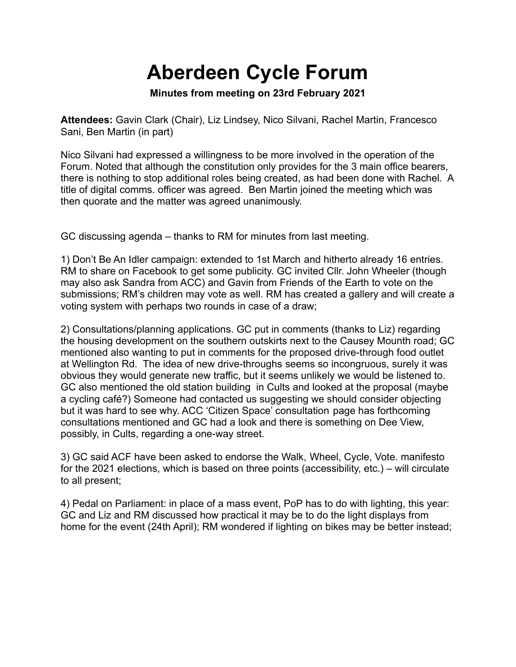## **Aberdeen Cycle Forum**

**Minutes from meeting on 23rd February 2021**

**Attendees:** Gavin Clark (Chair), Liz Lindsey, Nico Silvani, Rachel Martin, Francesco Sani, Ben Martin (in part)

Nico Silvani had expressed a willingness to be more involved in the operation of the Forum. Noted that although the constitution only provides for the 3 main office bearers, there is nothing to stop additional roles being created, as had been done with Rachel. A title of digital comms. officer was agreed. Ben Martin joined the meeting which was then quorate and the matter was agreed unanimously.

GC discussing agenda – thanks to RM for minutes from last meeting.

1) Don't Be An Idler campaign: extended to 1st March and hitherto already 16 entries. RM to share on Facebook to get some publicity. GC invited Cllr. John Wheeler (though may also ask Sandra from ACC) and Gavin from Friends of the Earth to vote on the submissions; RM's children may vote as well. RM has created a gallery and will create a voting system with perhaps two rounds in case of a draw;

2) Consultations/planning applications. GC put in comments (thanks to Liz) regarding the housing development on the southern outskirts next to the Causey Mounth road; GC mentioned also wanting to put in comments for the proposed drive-through food outlet at Wellington Rd. The idea of new drive-throughs seems so incongruous, surely it was obvious they would generate new traffic, but it seems unlikely we would be listened to. GC also mentioned the old station building in Cults and looked at the proposal (maybe a cycling café?) Someone had contacted us suggesting we should consider objecting but it was hard to see why. ACC 'Citizen Space' consultation page has forthcoming consultations mentioned and GC had a look and there is something on Dee View, possibly, in Cults, regarding a one-way street.

3) GC said ACF have been asked to endorse the Walk, Wheel, Cycle, Vote. manifesto for the 2021 elections, which is based on three points (accessibility, etc.) – will circulate to all present;

4) Pedal on Parliament: in place of a mass event, PoP has to do with lighting, this year: GC and Liz and RM discussed how practical it may be to do the light displays from home for the event (24th April); RM wondered if lighting on bikes may be better instead;